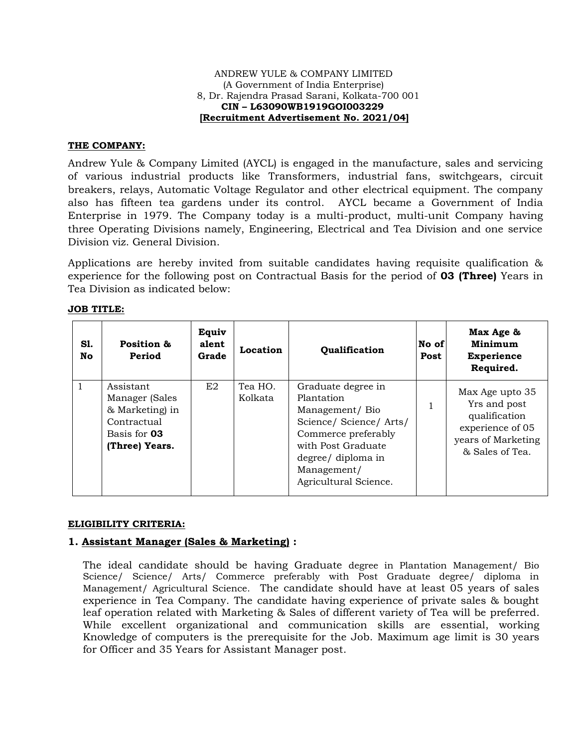#### ANDREW YULE & COMPANY LIMITED (A Government of India Enterprise) 8, Dr. Rajendra Prasad Sarani, Kolkata-700 001  **CIN – L63090WB1919GOI003229 [Recruitment Advertisement No. 2021/04]**

### **THE COMPANY:**

Andrew Yule & Company Limited (AYCL) is engaged in the manufacture, sales and servicing of various industrial products like Transformers, industrial fans, switchgears, circuit breakers, relays, Automatic Voltage Regulator and other electrical equipment. The company also has fifteen tea gardens under its control. AYCL became a Government of India Enterprise in 1979. The Company today is a multi-product, multi-unit Company having three Operating Divisions namely, Engineering, Electrical and Tea Division and one service Division viz. General Division.

Applications are hereby invited from suitable candidates having requisite qualification & experience for the following post on Contractual Basis for the period of **03 (Three)** Years in Tea Division as indicated below:

| S1.<br>No | Position &<br>Period                                                                            | Equiv<br>alent<br>Grade | Location           | Qualification                                                                                                                                                                          | No of<br>Post | Max Age &<br>Minimum<br><b>Experience</b><br>Required.                                                        |
|-----------|-------------------------------------------------------------------------------------------------|-------------------------|--------------------|----------------------------------------------------------------------------------------------------------------------------------------------------------------------------------------|---------------|---------------------------------------------------------------------------------------------------------------|
|           | Assistant<br>Manager (Sales<br>& Marketing) in<br>Contractual<br>Basis for 03<br>(Three) Years. | E2                      | Tea HO.<br>Kolkata | Graduate degree in<br>Plantation<br>Management/Bio<br>Science/Science/Arts/<br>Commerce preferably<br>with Post Graduate<br>degree/ diploma in<br>Management/<br>Agricultural Science. |               | Max Age upto 35<br>Yrs and post<br>qualification<br>experience of 05<br>years of Marketing<br>& Sales of Tea. |

#### **JOB TITLE:**

### **ELIGIBILITY CRITERIA:**

# **1. Assistant Manager (Sales & Marketing) :**

The ideal candidate should be having Graduate degree in Plantation Management/ Bio Science/ Science/ Arts/ Commerce preferably with Post Graduate degree/ diploma in Management/ Agricultural Science. The candidate should have at least 05 years of sales experience in Tea Company. The candidate having experience of private sales & bought leaf operation related with Marketing & Sales of different variety of Tea will be preferred. While excellent organizational and communication skills are essential, working Knowledge of computers is the prerequisite for the Job. Maximum age limit is 30 years for Officer and 35 Years for Assistant Manager post.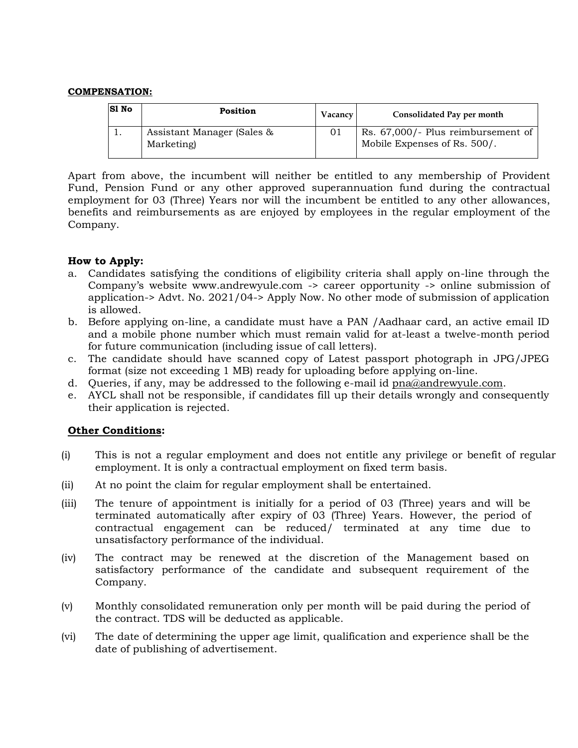#### **COMPENSATION:**

| <b>S1 No</b> | <b>Position</b>                          | <b>Vacancy</b> | Consolidated Pay per month                                         |
|--------------|------------------------------------------|----------------|--------------------------------------------------------------------|
|              | Assistant Manager (Sales &<br>Marketing) | 01             | Rs. 67,000/- Plus reimbursement of<br>Mobile Expenses of Rs. 500/. |

Apart from above, the incumbent will neither be entitled to any membership of Provident Fund, Pension Fund or any other approved superannuation fund during the contractual employment for 03 (Three) Years nor will the incumbent be entitled to any other allowances, benefits and reimbursements as are enjoyed by employees in the regular employment of the Company.

## **How to Apply:**

- a. Candidates satisfying the conditions of eligibility criteria shall apply on-line through the Company's website www.andrewyule.com -> career opportunity -> online submission of application-> Advt. No. 2021/04-> Apply Now. No other mode of submission of application is allowed.
- b. Before applying on-line, a candidate must have a PAN /Aadhaar card, an active email ID and a mobile phone number which must remain valid for at-least a twelve-month period for future communication (including issue of call letters).
- c. The candidate should have scanned copy of Latest passport photograph in JPG/JPEG format (size not exceeding 1 MB) ready for uploading before applying on-line.
- d. Queries, if any, may be addressed to the following e-mail id [pna@andrewyule.com.](mailto:pna@andrewyule.com)
- e. AYCL shall not be responsible, if candidates fill up their details wrongly and consequently their application is rejected.

## **Other Conditions:**

- (i) This is not a regular employment and does not entitle any privilege or benefit of regular employment. It is only a contractual employment on fixed term basis.
- (ii) At no point the claim for regular employment shall be entertained.
- (iii) The tenure of appointment is initially for a period of 03 (Three) years and will be terminated automatically after expiry of 03 (Three) Years. However, the period of contractual engagement can be reduced/ terminated at any time due to unsatisfactory performance of the individual.
- (iv) The contract may be renewed at the discretion of the Management based on satisfactory performance of the candidate and subsequent requirement of the Company.
- (v) Monthly consolidated remuneration only per month will be paid during the period of the contract. TDS will be deducted as applicable.
- (vi) The date of determining the upper age limit, qualification and experience shall be the date of publishing of advertisement.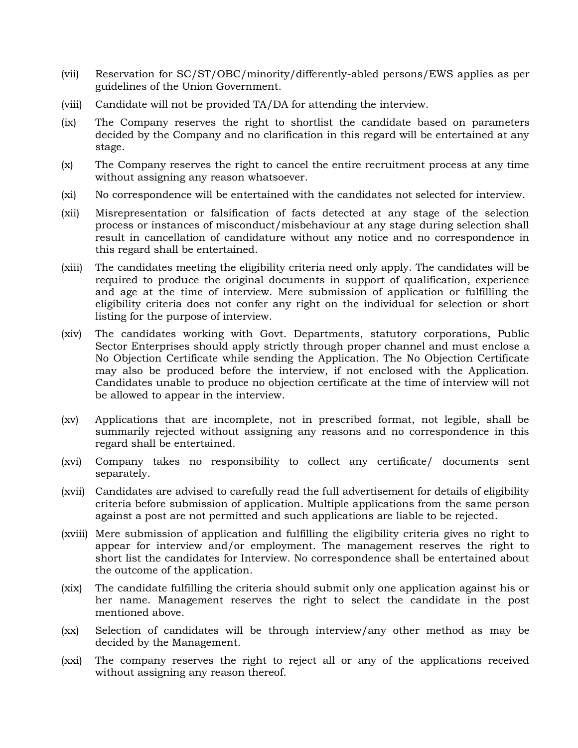- (vii) Reservation for SC/ST/OBC/minority/differently-abled persons/EWS applies as per guidelines of the Union Government.
- (viii) Candidate will not be provided TA/DA for attending the interview.
- (ix) The Company reserves the right to shortlist the candidate based on parameters decided by the Company and no clarification in this regard will be entertained at any stage.
- (x) The Company reserves the right to cancel the entire recruitment process at any time without assigning any reason whatsoever.
- (xi) No correspondence will be entertained with the candidates not selected for interview.
- (xii) Misrepresentation or falsification of facts detected at any stage of the selection process or instances of misconduct/misbehaviour at any stage during selection shall result in cancellation of candidature without any notice and no correspondence in this regard shall be entertained.
- (xiii) The candidates meeting the eligibility criteria need only apply. The candidates will be required to produce the original documents in support of qualification, experience and age at the time of interview. Mere submission of application or fulfilling the eligibility criteria does not confer any right on the individual for selection or short listing for the purpose of interview.
- (xiv) The candidates working with Govt. Departments, statutory corporations, Public Sector Enterprises should apply strictly through proper channel and must enclose a No Objection Certificate while sending the Application. The No Objection Certificate may also be produced before the interview, if not enclosed with the Application. Candidates unable to produce no objection certificate at the time of interview will not be allowed to appear in the interview.
- (xv) Applications that are incomplete, not in prescribed format, not legible, shall be summarily rejected without assigning any reasons and no correspondence in this regard shall be entertained.
- (xvi) Company takes no responsibility to collect any certificate/ documents sent separately.
- (xvii) Candidates are advised to carefully read the full advertisement for details of eligibility criteria before submission of application. Multiple applications from the same person against a post are not permitted and such applications are liable to be rejected.
- (xviii) Mere submission of application and fulfilling the eligibility criteria gives no right to appear for interview and/or employment. The management reserves the right to short list the candidates for Interview. No correspondence shall be entertained about the outcome of the application.
- (xix) The candidate fulfilling the criteria should submit only one application against his or her name. Management reserves the right to select the candidate in the post mentioned above.
- (xx) Selection of candidates will be through interview/any other method as may be decided by the Management.
- (xxi) The company reserves the right to reject all or any of the applications received without assigning any reason thereof.